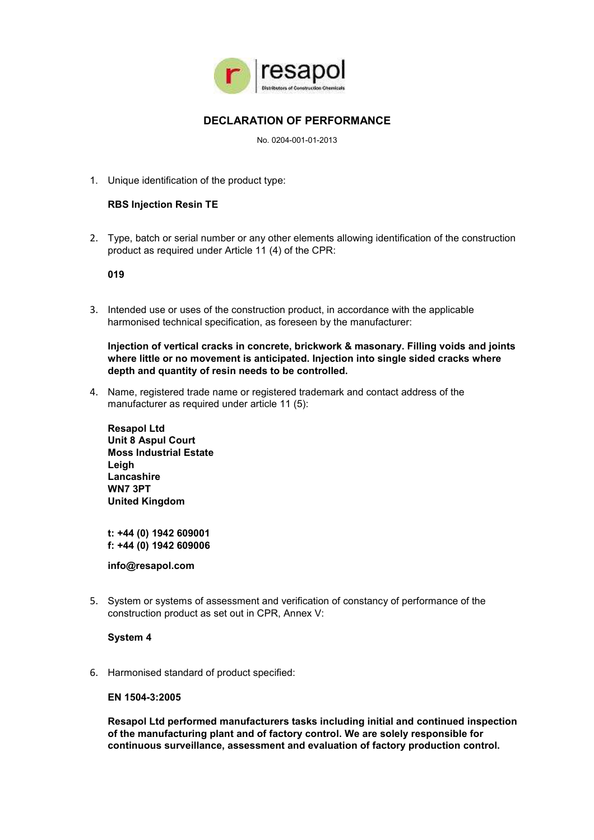

# **DECLARATION OF PERFORMANCE**

No. 0204-001-01-2013

1. Unique identification of the product type:

## **RBS Injection Resin TE**

2. Type, batch or serial number or any other elements allowing identification of the construction product as required under Article 11 (4) of the CPR:

**019**

3. Intended use or uses of the construction product, in accordance with the applicable harmonised technical specification, as foreseen by the manufacturer:

**Injection of vertical cracks in concrete, brickwork & masonary. Filling voids and joints where little or no movement is anticipated. Injection into single sided cracks where depth and quantity of resin needs to be controlled.**

4. Name, registered trade name or registered trademark and contact address of the manufacturer as required under article 11 (5):

**Resapol Ltd Unit 8 Aspul Court Moss Industrial Estate Leigh Lancashire WN7 3PT United Kingdom**

**t: +44 (0) 1942 609001 f: +44 (0) 1942 609006**

**info@resapol.com**

5. System or systems of assessment and verification of constancy of performance of the construction product as set out in CPR, Annex V:

### **System 4**

6. Harmonised standard of product specified:

### **EN 1504-3:2005**

**Resapol Ltd performed manufacturers tasks including initial and continued inspection of the manufacturing plant and of factory control. We are solely responsible for continuous surveillance, assessment and evaluation of factory production control.**